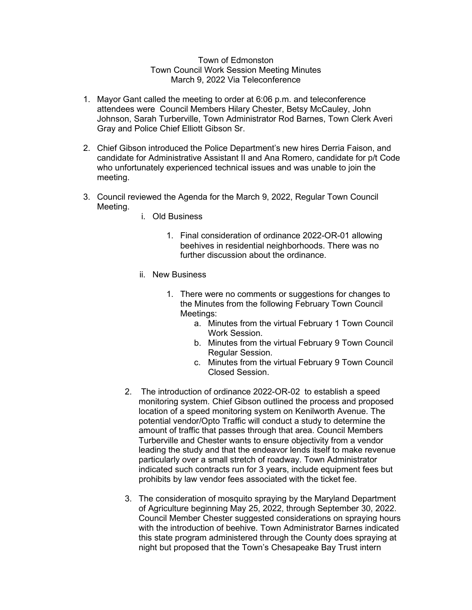## Town of Edmonston Town Council Work Session Meeting Minutes March 9, 2022 Via Teleconference

- 1. Mayor Gant called the meeting to order at 6:06 p.m. and teleconference attendees were Council Members Hilary Chester, Betsy McCauley, John Johnson, Sarah Turberville, Town Administrator Rod Barnes, Town Clerk Averi Gray and Police Chief Elliott Gibson Sr.
- 2. Chief Gibson introduced the Police Department's new hires Derria Faison, and candidate for Administrative Assistant II and Ana Romero, candidate for p/t Code who unfortunately experienced technical issues and was unable to join the meeting.
- 3. Council reviewed the Agenda for the March 9, 2022, Regular Town Council Meeting.
	- i. Old Business
		- 1. Final consideration of ordinance 2022-OR-01 allowing beehives in residential neighborhoods. There was no further discussion about the ordinance.
	- ii. New Business
		- 1. There were no comments or suggestions for changes to the Minutes from the following February Town Council Meetings:
			- a. Minutes from the virtual February 1 Town Council Work Session.
			- b. Minutes from the virtual February 9 Town Council Regular Session.
			- c. Minutes from the virtual February 9 Town Council Closed Session.
	- 2. The introduction of ordinance 2022-OR-02 to establish a speed monitoring system. Chief Gibson outlined the process and proposed location of a speed monitoring system on Kenilworth Avenue. The potential vendor/Opto Traffic will conduct a study to determine the amount of traffic that passes through that area. Council Members Turberville and Chester wants to ensure objectivity from a vendor leading the study and that the endeavor lends itself to make revenue particularly over a small stretch of roadway. Town Administrator indicated such contracts run for 3 years, include equipment fees but prohibits by law vendor fees associated with the ticket fee.
	- 3. The consideration of mosquito spraying by the Maryland Department of Agriculture beginning May 25, 2022, through September 30, 2022. Council Member Chester suggested considerations on spraying hours with the introduction of beehive. Town Administrator Barnes indicated this state program administered through the County does spraying at night but proposed that the Town's Chesapeake Bay Trust intern